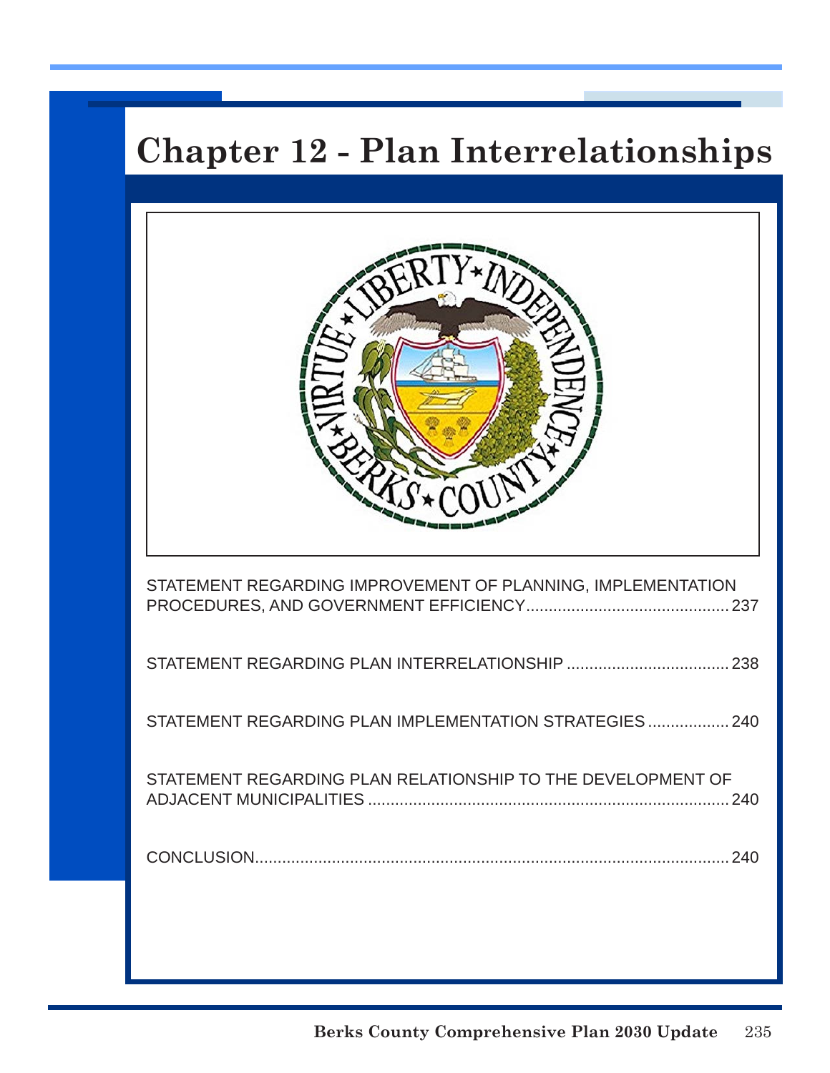# **Chapter 12 - Plan Interrelationships**

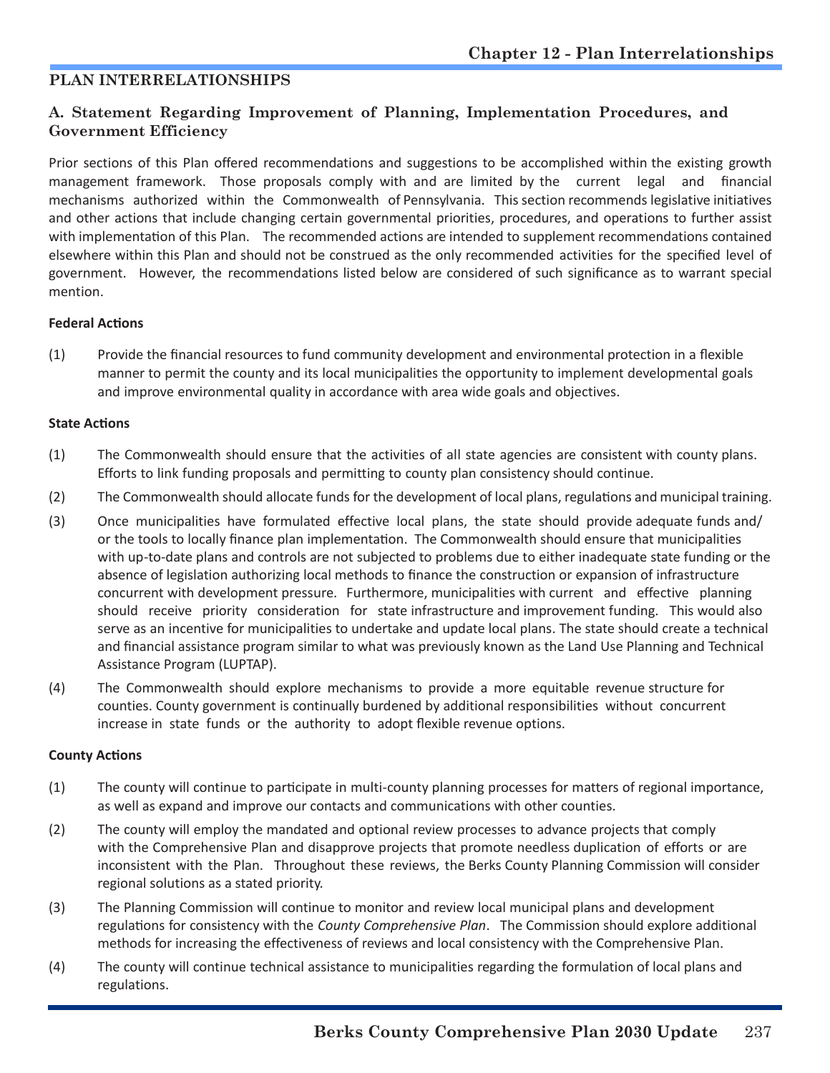## **PLAN INTERRELATIONSHIPS**

## **A. Statement Regarding Improvement of Planning, Implementation Procedures, and Government Efficiency**

Prior sections of this Plan offered recommendations and suggestions to be accomplished within the existing growth management framework. Those proposals comply with and are limited by the current legal and financial mechanisms authorized within the Commonwealth of Pennsylvania. This section recommends legislative initiatives and other actions that include changing certain governmental priorities, procedures, and operations to further assist with implementation of this Plan. The recommended actions are intended to supplement recommendations contained elsewhere within this Plan and should not be construed as the only recommended activities for the specified level of government. However, the recommendations listed below are considered of such significance as to warrant special mention.

#### **Federal Actions**

(1) Provide the financial resources to fund community development and environmental protection in a flexible manner to permit the county and its local municipalities the opportunity to implement developmental goals and improve environmental quality in accordance with area wide goals and objectives.

#### **State Actions**

- (1) The Commonwealth should ensure that the activities of all state agencies are consistent with county plans. Efforts to link funding proposals and permitting to county plan consistency should continue.
- (2) The Commonwealth should allocate funds for the development of local plans, regulations and municipal training.
- (3) Once municipalities have formulated effective local plans, the state should provide adequate funds and/ or the tools to locally finance plan implementation. The Commonwealth should ensure that municipalities with up-to-date plans and controls are not subjected to problems due to either inadequate state funding or the absence of legislation authorizing local methods to finance the construction or expansion of infrastructure concurrent with development pressure. Furthermore, municipalities with current and effective planning should receive priority consideration for state infrastructure and improvement funding. This would also serve as an incentive for municipalities to undertake and update local plans. The state should create a technical and financial assistance program similar to what was previously known as the Land Use Planning and Technical Assistance Program (LUPTAP).
- (4) The Commonwealth should explore mechanisms to provide a more equitable revenue structure for counties. County government is continually burdened by additional responsibilities without concurrent increase in state funds or the authority to adopt flexible revenue options.

#### **County Actions**

- (1) The county will continue to participate in multi-county planning processes for matters of regional importance, as well as expand and improve our contacts and communications with other counties.
- (2) The county will employ the mandated and optional review processes to advance projects that comply with the Comprehensive Plan and disapprove projects that promote needless duplication of efforts or are inconsistent with the Plan. Throughout these reviews, the Berks County Planning Commission will consider regional solutions as a stated priority.
- (3) The Planning Commission will continue to monitor and review local municipal plans and development regulations for consistency with the *County Comprehensive Plan*. The Commission should explore additional methods for increasing the effectiveness of reviews and local consistency with the Comprehensive Plan.
- (4) The county will continue technical assistance to municipalities regarding the formulation of local plans and regulations.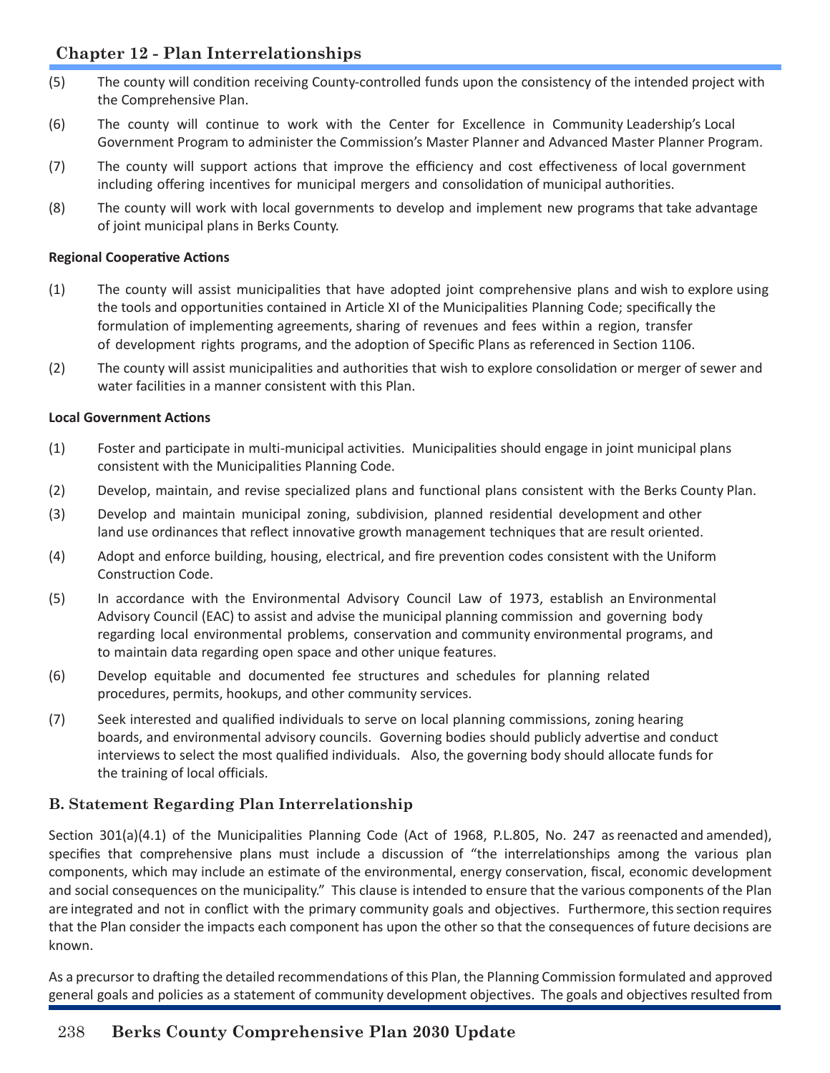# **Chapter 12 - Plan Interrelationships**

- (5) The county will condition receiving County-controlled funds upon the consistency of the intended project with the Comprehensive Plan.
- (6) The county will continue to work with the Center for Excellence in Community Leadership's Local Government Program to administer the Commission's Master Planner and Advanced Master Planner Program.
- (7) The county will support actions that improve the efficiency and cost effectiveness of local government including offering incentives for municipal mergers and consolidation of municipal authorities.
- (8) The county will work with local governments to develop and implement new programs that take advantage of joint municipal plans in Berks County.

### **Regional Cooperative Actions**

- (1) The county will assist municipalities that have adopted joint comprehensive plans and wish to explore using the tools and opportunities contained in Article XI of the Municipalities Planning Code; specifically the formulation of implementing agreements, sharing of revenues and fees within a region, transfer of development rights programs, and the adoption of Specific Plans as referenced in Section 1106.
- (2) The county will assist municipalities and authorities that wish to explore consolidation or merger of sewer and water facilities in a manner consistent with this Plan.

#### **Local Government Actions**

- (1) Foster and participate in multi-municipal activities. Municipalities should engage in joint municipal plans consistent with the Municipalities Planning Code.
- (2) Develop, maintain, and revise specialized plans and functional plans consistent with the Berks County Plan.
- (3) Develop and maintain municipal zoning, subdivision, planned residential development and other land use ordinances that reflect innovative growth management techniques that are result oriented.
- (4) Adopt and enforce building, housing, electrical, and fire prevention codes consistent with the Uniform Construction Code.
- (5) In accordance with the Environmental Advisory Council Law of 1973, establish an Environmental Advisory Council (EAC) to assist and advise the municipal planning commission and governing body regarding local environmental problems, conservation and community environmental programs, and to maintain data regarding open space and other unique features.
- (6) Develop equitable and documented fee structures and schedules for planning related procedures, permits, hookups, and other community services.
- (7) Seek interested and qualified individuals to serve on local planning commissions, zoning hearing boards, and environmental advisory councils. Governing bodies should publicly advertise and conduct interviews to select the most qualified individuals. Also, the governing body should allocate funds for the training of local officials.

## **B. Statement Regarding Plan Interrelationship**

Section 301(a)(4.1) of the Municipalities Planning Code (Act of 1968, P.L.805, No. 247 as reenacted and amended), specifies that comprehensive plans must include a discussion of "the interrelationships among the various plan components, which may include an estimate of the environmental, energy conservation, fiscal, economic development and social consequences on the municipality." This clause is intended to ensure that the various components of the Plan are integrated and not in conflict with the primary community goals and objectives. Furthermore, this section requires that the Plan consider the impacts each component has upon the other so that the consequences of future decisions are known.

As a precursor to drafting the detailed recommendations of this Plan, the Planning Commission formulated and approved general goals and policies as a statement of community development objectives. The goals and objectives resulted from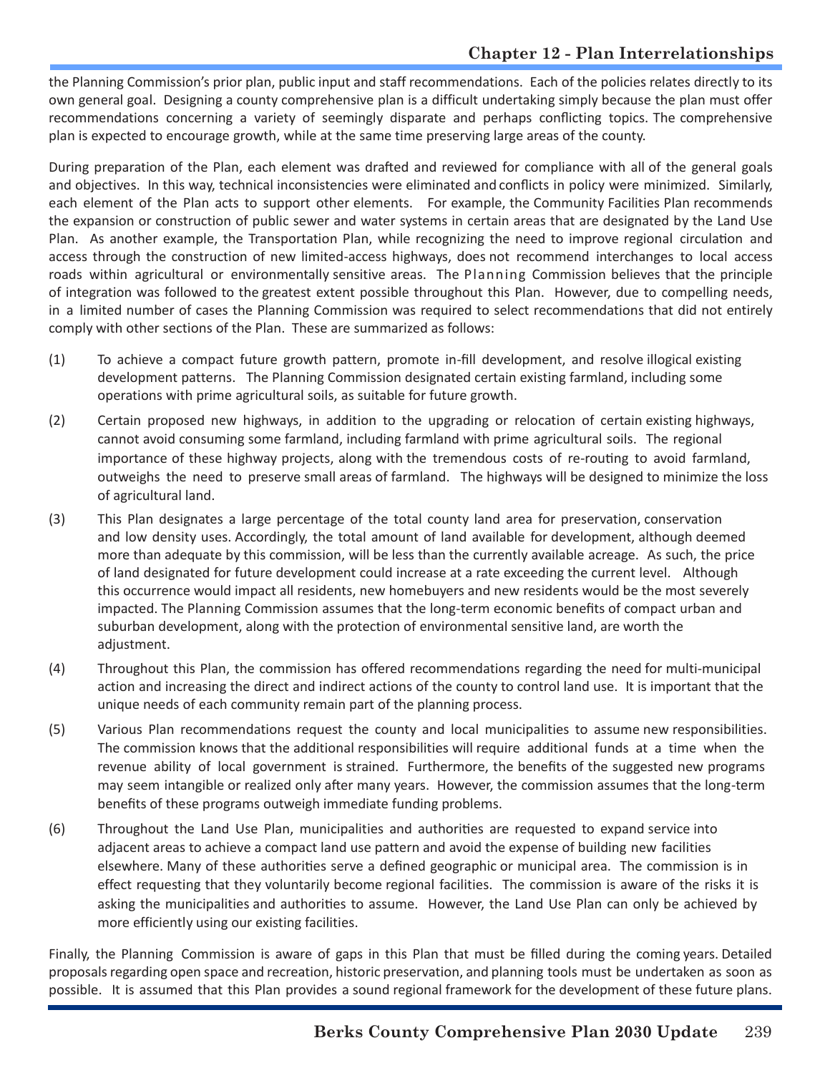the Planning Commission's prior plan, public input and staff recommendations. Each of the policies relates directly to its own general goal. Designing a county comprehensive plan is a difficult undertaking simply because the plan must offer recommendations concerning a variety of seemingly disparate and perhaps conflicting topics. The comprehensive plan is expected to encourage growth, while at the same time preserving large areas of the county.

During preparation of the Plan, each element was drafted and reviewed for compliance with all of the general goals and objectives. In this way, technical inconsistencies were eliminated and conflicts in policy were minimized. Similarly, each element of the Plan acts to support other elements. For example, the Community Facilities Plan recommends the expansion or construction of public sewer and water systems in certain areas that are designated by the Land Use Plan. As another example, the Transportation Plan, while recognizing the need to improve regional circulation and access through the construction of new limited-access highways, does not recommend interchanges to local access roads within agricultural or environmentally sensitive areas. The Planning Commission believes that the principle of integration was followed to the greatest extent possible throughout this Plan. However, due to compelling needs, in a limited number of cases the Planning Commission was required to select recommendations that did not entirely comply with other sections of the Plan. These are summarized as follows:

- (1) To achieve a compact future growth pattern, promote in-fill development, and resolve illogical existing development patterns. The Planning Commission designated certain existing farmland, including some operations with prime agricultural soils, as suitable for future growth.
- (2) Certain proposed new highways, in addition to the upgrading or relocation of certain existing highways, cannot avoid consuming some farmland, including farmland with prime agricultural soils. The regional importance of these highway projects, along with the tremendous costs of re-routing to avoid farmland, outweighs the need to preserve small areas of farmland. The highways will be designed to minimize the loss of agricultural land.
- (3) This Plan designates a large percentage of the total county land area for preservation, conservation and low density uses. Accordingly, the total amount of land available for development, although deemed more than adequate by this commission, will be less than the currently available acreage. As such, the price of land designated for future development could increase at a rate exceeding the current level. Although this occurrence would impact all residents, new homebuyers and new residents would be the most severely impacted. The Planning Commission assumes that the long-term economic benefits of compact urban and suburban development, along with the protection of environmental sensitive land, are worth the adjustment.
- (4) Throughout this Plan, the commission has offered recommendations regarding the need for multi-municipal action and increasing the direct and indirect actions of the county to control land use. It is important that the unique needs of each community remain part of the planning process.
- (5) Various Plan recommendations request the county and local municipalities to assume new responsibilities. The commission knows that the additional responsibilities will require additional funds at a time when the revenue ability of local government is strained. Furthermore, the benefits of the suggested new programs may seem intangible or realized only after many years. However, the commission assumes that the long-term benefits of these programs outweigh immediate funding problems.
- (6) Throughout the Land Use Plan, municipalities and authorities are requested to expand service into adjacent areas to achieve a compact land use pattern and avoid the expense of building new facilities elsewhere. Many of these authorities serve a defined geographic or municipal area. The commission is in effect requesting that they voluntarily become regional facilities. The commission is aware of the risks it is asking the municipalities and authorities to assume. However, the Land Use Plan can only be achieved by more efficiently using our existing facilities.

Finally, the Planning Commission is aware of gaps in this Plan that must be filled during the coming years. Detailed proposals regarding open space and recreation, historic preservation, and planning tools must be undertaken as soon as possible. It is assumed that this Plan provides a sound regional framework for the development of these future plans.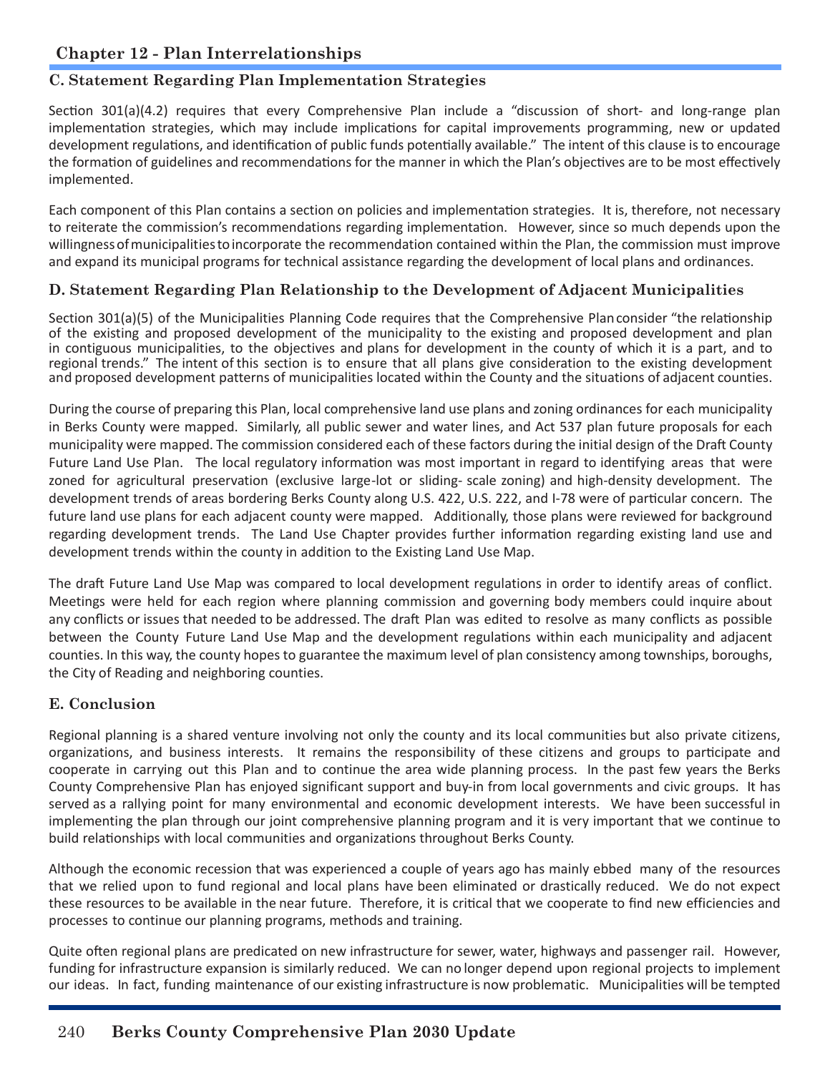## **C. Statement Regarding Plan Implementation Strategies**

Section 301(a)(4.2) requires that every Comprehensive Plan include a "discussion of short- and long-range plan implementation strategies, which may include implications for capital improvements programming, new or updated development regulations, and identification of public funds potentially available." The intent of this clause is to encourage the formation of guidelines and recommendations for the manner in which the Plan's objectives are to be most effectively implemented.

Each component of this Plan contains a section on policies and implementation strategies. It is, therefore, not necessary to reiterate the commission's recommendations regarding implementation. However, since so much depends upon the willingness of municipalities to incorporate the recommendation contained within the Plan, the commission must improve and expand its municipal programs for technical assistance regarding the development of local plans and ordinances.

## **D. Statement Regarding Plan Relationship to the Development of Adjacent Municipalities**

Section 301(a)(5) of the Municipalities Planning Code requires that the Comprehensive Plan consider "the relationship of the existing and proposed development of the municipality to the existing and proposed development and plan in contiguous municipalities, to the objectives and plans for development in the county of which it is a part, and to regional trends." The intent of this section is to ensure that all plans give consideration to the existing development and proposed development patterns of municipalities located within the County and the situations of adjacent counties.

During the course of preparing this Plan, local comprehensive land use plans and zoning ordinances for each municipality in Berks County were mapped. Similarly, all public sewer and water lines, and Act 537 plan future proposals for each municipality were mapped. The commission considered each of these factors during the initial design of the Draft County Future Land Use Plan. The local regulatory information was most important in regard to identifying areas that were zoned for agricultural preservation (exclusive large-lot or sliding- scale zoning) and high-density development. The development trends of areas bordering Berks County along U.S. 422, U.S. 222, and I-78 were of particular concern. The future land use plans for each adjacent county were mapped. Additionally, those plans were reviewed for background regarding development trends. The Land Use Chapter provides further information regarding existing land use and development trends within the county in addition to the Existing Land Use Map.

The draft Future Land Use Map was compared to local development regulations in order to identify areas of conflict. Meetings were held for each region where planning commission and governing body members could inquire about any conflicts or issues that needed to be addressed. The draft Plan was edited to resolve as many conflicts as possible between the County Future Land Use Map and the development regulations within each municipality and adjacent counties. In this way, the county hopes to guarantee the maximum level of plan consistency among townships, boroughs, the City of Reading and neighboring counties.

## **E. Conclusion**

Regional planning is a shared venture involving not only the county and its local communities but also private citizens, organizations, and business interests. It remains the responsibility of these citizens and groups to participate and cooperate in carrying out this Plan and to continue the area wide planning process. In the past few years the Berks County Comprehensive Plan has enjoyed significant support and buy-in from local governments and civic groups. It has served as a rallying point for many environmental and economic development interests. We have been successful in implementing the plan through our joint comprehensive planning program and it is very important that we continue to build relationships with local communities and organizations throughout Berks County.

Although the economic recession that was experienced a couple of years ago has mainly ebbed many of the resources that we relied upon to fund regional and local plans have been eliminated or drastically reduced. We do not expect these resources to be available in the near future. Therefore, it is critical that we cooperate to find new efficiencies and processes to continue our planning programs, methods and training.

Quite often regional plans are predicated on new infrastructure for sewer, water, highways and passenger rail. However, funding for infrastructure expansion is similarly reduced. We can no longer depend upon regional projects to implement our ideas. In fact, funding maintenance of our existing infrastructure is now problematic. Municipalities will be tempted